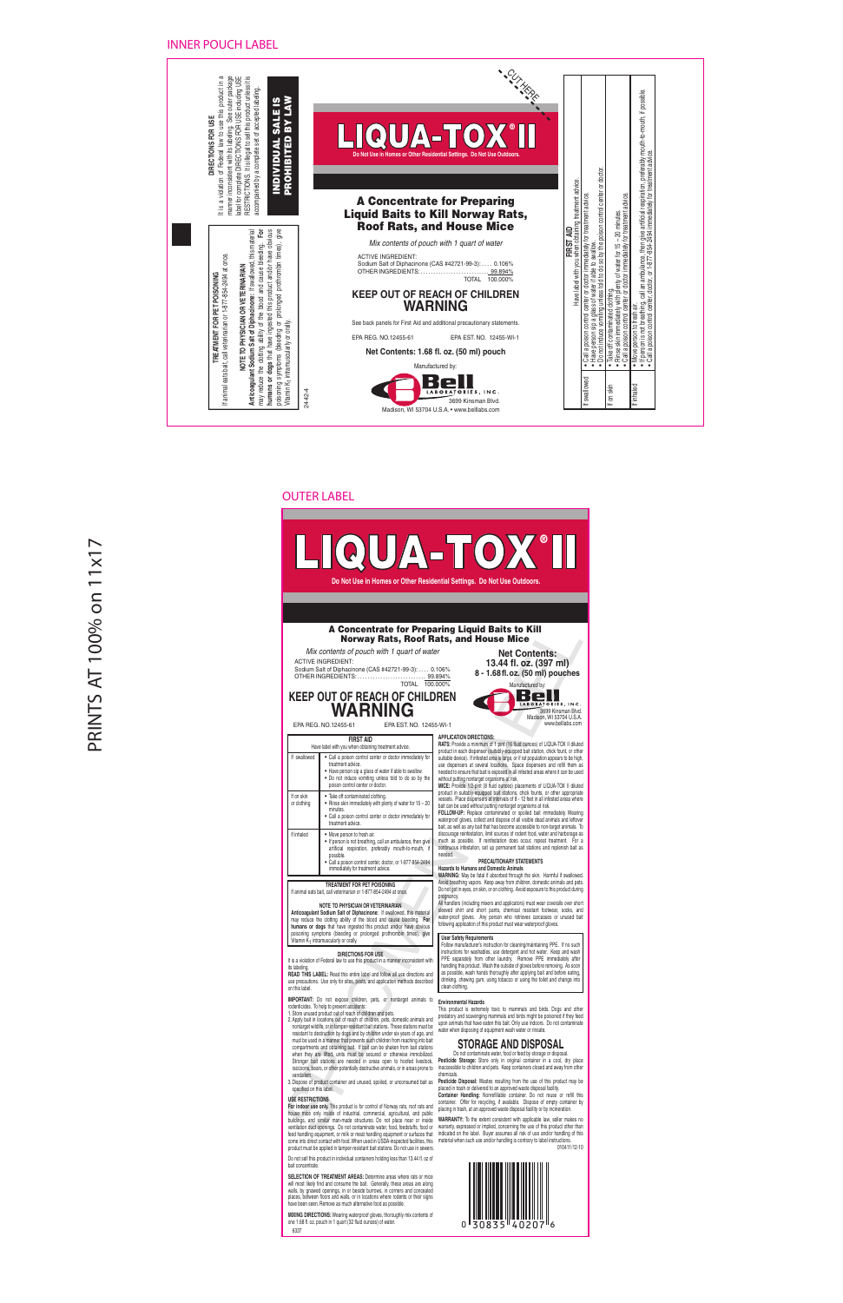# ® LIQUA-TOX II **Do Not Use in Homes or Other Residential Settings. Do Not Use Outdoors.**

# A Concentrate for Preparing Liquid Baits to Kill Norway Rats, Roof Rats, and House Mice

# **KEEP OUT OF REACH OF CHILDREN** EPA REG. NO.12455-61  $T$ <sup>100.000%</sup> Manufactured by:<br>  $F$  CHILDREN

|                                                                  |                                                                                                                                                                                                                                                                                                                                                                                                                                                                                                                                                                                                                                                                                                                                                                                                                                                                                                                                                                                                                                                                                            | A Concentrate for Preparing Liquid Baits to Kill<br><b>Norway Rats, Roof Rats, and House Mice</b>                                                                                                                                                                                                                                                                                                                                                                                                                                                                                                                                                                                                                                                                                                                                                                                                                                                                                                               |  |  |  |  |
|------------------------------------------------------------------|--------------------------------------------------------------------------------------------------------------------------------------------------------------------------------------------------------------------------------------------------------------------------------------------------------------------------------------------------------------------------------------------------------------------------------------------------------------------------------------------------------------------------------------------------------------------------------------------------------------------------------------------------------------------------------------------------------------------------------------------------------------------------------------------------------------------------------------------------------------------------------------------------------------------------------------------------------------------------------------------------------------------------------------------------------------------------------------------|-----------------------------------------------------------------------------------------------------------------------------------------------------------------------------------------------------------------------------------------------------------------------------------------------------------------------------------------------------------------------------------------------------------------------------------------------------------------------------------------------------------------------------------------------------------------------------------------------------------------------------------------------------------------------------------------------------------------------------------------------------------------------------------------------------------------------------------------------------------------------------------------------------------------------------------------------------------------------------------------------------------------|--|--|--|--|
|                                                                  | Mix contents of pouch with 1 quart of water<br><b>ACTIVE INGREDIENT:</b><br>Sodium Salt of Diphacinone (CAS #42721-99-3): 0.106%<br>OTHER INGREDIENTS:<br><b>TOTAL</b>                                                                                                                                                                                                                                                                                                                                                                                                                                                                                                                                                                                                                                                                                                                                                                                                                                                                                                                     | <b>Net Contents:</b><br>13.44 fl. oz. (397 ml)<br>8 - 1.68 fl. oz. (50 ml) pouches<br>99.894%<br>100.000%<br>Manufactured by:                                                                                                                                                                                                                                                                                                                                                                                                                                                                                                                                                                                                                                                                                                                                                                                                                                                                                   |  |  |  |  |
|                                                                  | <b>KEEP OUT OF REACH OF CHILDREN</b><br>WARNING<br>EPA REG. NO.12455-61<br>EPA EST. NO. 12455-WI-1                                                                                                                                                                                                                                                                                                                                                                                                                                                                                                                                                                                                                                                                                                                                                                                                                                                                                                                                                                                         | Bel<br>LABORATORIES, INC.<br>3699 Kinsman Blvd.<br>Madison, WI 53704 U.S.A.<br>www.belllabs.com                                                                                                                                                                                                                                                                                                                                                                                                                                                                                                                                                                                                                                                                                                                                                                                                                                                                                                                 |  |  |  |  |
| If swallowed                                                     | <b>FIRST AID</b><br>Have label with you when obtaining treatment advice.<br>· Call a poison control center or doctor immediately for<br>treatment advice.<br>. Have person sip a glass of water if able to swallow.<br>• Do not induce vomiting unless told to do so by the<br>poison control center or doctor.                                                                                                                                                                                                                                                                                                                                                                                                                                                                                                                                                                                                                                                                                                                                                                            | <b>APPLICATION DIRECTIONS:</b><br>RATS: Provide a minimum of 1 pint (16 fluid ounces) of LIQUA-TOX II diluted<br>product in each dispenser (suitably-equipped bait station, chick fount, or other<br>suitable device). If infested area is large, or if rat population appears to be high,<br>use dispensers at several locations. Space dispensers and refill them as<br>needed to ensure that bait is exposed in all infested areas where it can be used<br>without putting nontarget organisms at risk.<br>MICE: Provide 1/2-pint (8 fluid ounces) placements of LIQUA-TOX II diluted                                                                                                                                                                                                                                                                                                                                                                                                                        |  |  |  |  |
| If on skin<br>or clothing                                        | • Take off contaminated clothing.<br>. Rinse skin immediately with plenty of water for 15 - 20<br>minutes.<br>Call a poison control center or doctor immediately for<br>treatment advice.                                                                                                                                                                                                                                                                                                                                                                                                                                                                                                                                                                                                                                                                                                                                                                                                                                                                                                  | product in suitably-equipped bait stations, chick founts, or other appropriate<br>vessels. Place dispensers at intervals of 8 - 12 feet in all infested areas where<br>bait can be used without putting nontarget organisms at risk.<br>FOLLOW-UP: Replace contaminated or spoiled bait immediately. Wearing<br>waterproof gloves, collect and dispose of all visible dead animals and leftover<br>bait, as well as any bait that has become accessible to non-target animals. To                                                                                                                                                                                                                                                                                                                                                                                                                                                                                                                               |  |  |  |  |
| If inhaled                                                       | • Move person to fresh air.<br>. If person is not breathing, call an ambulance, then give<br>artificial respiration, preferably mouth-to-mouth, if<br>possible.<br>· Call a poison control center, doctor, or 1-877-854-2494<br>immediately for treatment advice.                                                                                                                                                                                                                                                                                                                                                                                                                                                                                                                                                                                                                                                                                                                                                                                                                          | discourage reinfestation, limit sources of rodent food, water and harborage as<br>much as possible. If reinfestation does occur, repeat treatment. For a<br>continuous infestation, set up permanent bait stations and replenish bait as<br>needed.<br>PRECAUTIONARY STATEMENTS<br>Hazards to Humans and Domestic Animals<br>WARNING: May be fatal if absorbed through the skin. Harmful if swallowed.                                                                                                                                                                                                                                                                                                                                                                                                                                                                                                                                                                                                          |  |  |  |  |
|                                                                  | TREATMENT FOR PET POISONING<br>If animal eats bait, call veterinarian or 1-877-854-2494 at once.<br><b>NOTE TO PHYSICIAN OR VETERINARIAN</b><br>Anticoagulant Sodium Salt of Diphacinone: If swallowed, this material<br>may reduce the clotting ability of the blood and cause bleeding. For<br>humans or dogs that have ingested this product and/or have obvious                                                                                                                                                                                                                                                                                                                                                                                                                                                                                                                                                                                                                                                                                                                        | Avoid breathing vapors. Keep away from children, domestic animals and pets.<br>Do not get in eyes, on skin, or on clothing. Avoid exposure to this product during<br>pregnancy.<br>All handlers (including mixers and applicators) must wear coveralls over short<br>sleeved shirt and short pants, chemical resistant footwear, socks, and<br>water-proof gloves. Any person who retrieves carcasses or unused bait<br>following application of this product must wear waterproof gloves.                                                                                                                                                                                                                                                                                                                                                                                                                                                                                                                      |  |  |  |  |
| its labeling.<br>on this label.                                  | poisoning symptoms (bleeding or prolonged prothrombin times), give<br>Vitamin K <sub>1</sub> intramuscularly or orally.<br><b>DIRECTIONS FOR USE</b><br>It is a violation of Federal law to use this product in a manner inconsistent with<br>READ THIS LABEL: Read this entire label and follow all use directions and<br>use precautions. Use only for sites, pests, and application methods described                                                                                                                                                                                                                                                                                                                                                                                                                                                                                                                                                                                                                                                                                   | <b>User Safety Requirements</b><br>Follow manufacturer's instruction for cleaning/maintaining PPE. If no such<br>instructions for washables, use detergent and hot water. Keep and wash<br>PPE separately from other laundry. Remove PPE immediately after<br>handling this product. Wash the outside of gloves before removing. As soon<br>as possible, wash hands thoroughly after applying bait and before eating,<br>drinking, chewing gum, using tobacco or using the toilet and change into<br>clean clothing.                                                                                                                                                                                                                                                                                                                                                                                                                                                                                            |  |  |  |  |
| vandalism<br>specified on this label.<br><b>USE RESTRICTIONS</b> | <b>IMPORTANT:</b> Do not expose children, pets, or nontarget animals to<br>rodenticides. To help to prevent accidents:<br>1. Store unused product out of reach of children and pets.<br>2. Apply bait in locations out of reach of children, pets, domestic animals and<br>nontarget wildlife, or in tamper-resistant bait stations. These stations must be<br>resistant to destruction by dogs and by children under six years of age, and<br>must be used in a manner that prevents such children from reaching into bait<br>compartments and obtaining bait. If bait can be shaken from bait stations<br>when they are lifted, units must be secured or otherwise immobilized.<br>Stronger bait stations are needed in areas open to hoofed livestock,<br>raccoons, bears, or other potentially destructive animals, or in areas prone to<br>3. Dispose of product container and unused, spoiled, or unconsumed bait as<br>For indoor use only. This product is for control of Norway rats, roof rats and<br>house mice only inside of industrial, commercial, agricultural, and public | <b>Environmental Hazards</b><br>This product is extremely toxic to mammals and birds. Dogs and other<br>predatory and scavenging mammals and birds might be poisoned if they feed<br>upon animals that have eaten this bait. Only use indoors. Do not contaminate<br>water when disposing of equipment wash water or rinsate.<br><b>STORAGE AND DISPOSAL</b><br>Do not contaminate water, food or feed by storage or disposal.<br>Pesticide Storage: Store only in original container in a cool, dry place<br>inaccessible to children and pets. Keep containers closed and away from other<br>chemicals.<br>Pesticide Disposal: Wastes resulting from the use of this product may be<br>placed in trash or delivered to an approved waste disposal facility.<br><b>Container Handling:</b> Nonrefillable container. Do not reuse or refill this<br>container. Offer for recycling, if available. Dispose of empty container by<br>placing in trash, at an approved waste disposal facility or by incineration. |  |  |  |  |
| ممصمئا المدمط الممد                                              | buildings, and similar man-made structures. Do not place near or inside<br>ventilation duct openings. Do not contaminate water, food, feedstuffs, food or<br>وباسروه ومراجعه ومواريهم ومطالبهم واللمموس ومرااليوروم<br>أحدها مصاحبا                                                                                                                                                                                                                                                                                                                                                                                                                                                                                                                                                                                                                                                                                                                                                                                                                                                        | WARRANTY: To the extent consistent with applicable law, seller makes no<br>warranty, expressed or implied, concerning the use of this product other than<br>indicated on the label. Buyer accumes all risk of use and/or handling of this                                                                                                                                                                                                                                                                                                                                                                                                                                                                                                                                                                                                                                                                                                                                                                       |  |  |  |  |

# **TREATMENT FOR PET POISONING** If animal eats bait, call veterinarian or 1-877-854-2494 at once.

# **NOTE TO PHYSICIAN OR VETERINARIAN**

# **DIRECTIONS FOR USE**

- 1. Store unused product out of reach of children and pets.
- 2. Apply bait in locations out of reach of children, pets, domestic animals and nontarget wildlife, or in tamper-resistant bait stations. These stations must be resistant to destruction by dogs and by children under six years of age, and must be used in a manner that prevents such children from reaching into bait compartments and obtaining bait. If bait can be shaken from bait stations when they are lifted, units must be secured or otherwise immobilized. Stronger bait stations are needed in areas open to hoofed livestock. raccoons, bears, or other potentially destructive animals, or in areas prone to vandalism.
- 3. Dispose of product container and unused, spoiled, or unconsumed bait as specified on this label.

### **USE RESTRICTIONS**

**For indoor use only.** This product is for control of Norway rats, roof rats and house mice only inside of industrial, commercial, agricultural, and public buildings, and similar man-made structures. Do not place near or inside ventilation duct openings. Do not contaminate water, food, feedstuffs, food or feed handling equipment, or milk or meat handling equipment or surfaces that come into direct contact with food. When used in USDA-inspected facilities, this product must be applied in tamper-resistant bait stations. Do not use in sewers.

Do not sell this product in individual containers holding less than 13.44 fl. oz of bait concentrate.

**SELECTION OF TREATMENT AREAS:** Determine areas where rats or mice will most likely find and consume the bait. Generally, these areas are along walls, by gnawed openings, in or beside burrows, in corners and concealed places, between floors and walls, or in locations where rodents or their signs have been seen. Remove as much alternative food as possible.

**MIXING DIRECTIONS:** Wearing waterproof gloves, thoroughly mix contents of

# **APPLICATION DIRECTIONS:**

### **PRECAUTIONARY STATEMENTS Hazards to Humans and Domestic Animals**

# **Environmental Hazards**

# **STORAGE AND DISPOSAL**

**WARRANTY:** To the extent consistent with applicable law, seller makes no warranty, expressed or implied, concerning the use of this product other than indicated on the label. Buyer assumes all risk of use and/or handling of this material when such use and/or handling is contrary to label instructions.